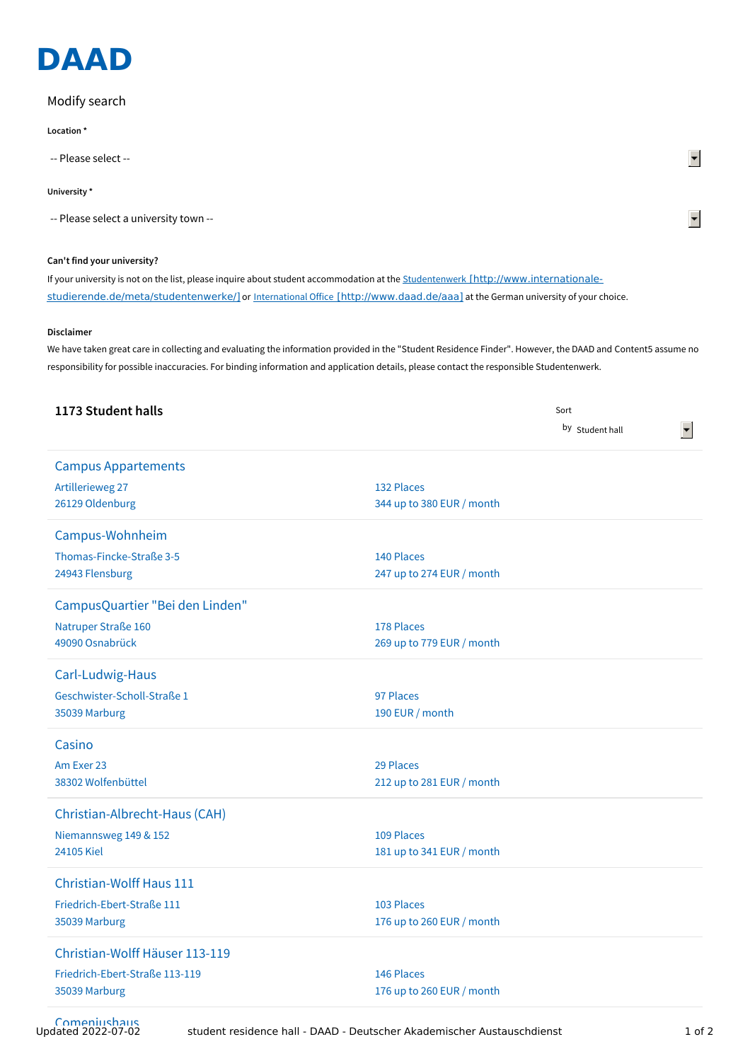

## Modify search

**Location \***

-- Please select --

## **University \***

-- Please select a university town --

## **Can't find your university?**

If your university is not on the list, please inquire about student accommodation at the Studentenwerk [http://www.internationale[studierende.de/meta/studentenwerke/\]](http://www.internationale-studierende.de/meta/studentenwerke/) or International Office [\[http://www.daad.de/aaa\]](http://www.daad.de/aaa) at the German university of your choice.

## **Disclaimer**

We have taken great care in collecting and evaluating the information provided in the "Student Residence Finder". However, the DAAD and Content5 assume no responsibility for possible inaccuracies. For binding information and application details, please contact the responsible Studentenwerk.

| 1173 Student halls              |                           | Sort            |  |
|---------------------------------|---------------------------|-----------------|--|
|                                 |                           | by Student hall |  |
| <b>Campus Appartements</b>      |                           |                 |  |
| Artillerieweg 27                | 132 Places                |                 |  |
| 26129 Oldenburg                 | 344 up to 380 EUR / month |                 |  |
|                                 |                           |                 |  |
| Campus-Wohnheim                 |                           |                 |  |
| Thomas-Fincke-Straße 3-5        | 140 Places                |                 |  |
| 24943 Flensburg                 | 247 up to 274 EUR / month |                 |  |
| CampusQuartier "Bei den Linden" |                           |                 |  |
| Natruper Straße 160             | 178 Places                |                 |  |
| 49090 Osnabrück                 | 269 up to 779 EUR / month |                 |  |
|                                 |                           |                 |  |
| Carl-Ludwig-Haus                |                           |                 |  |
| Geschwister-Scholl-Straße 1     | 97 Places                 |                 |  |
| 35039 Marburg                   | 190 EUR / month           |                 |  |
| Casino                          |                           |                 |  |
| Am Exer 23                      | 29 Places                 |                 |  |
| 38302 Wolfenbüttel              | 212 up to 281 EUR / month |                 |  |
|                                 |                           |                 |  |
| Christian-Albrecht-Haus (CAH)   |                           |                 |  |
| Niemannsweg 149 & 152           | 109 Places                |                 |  |
| 24105 Kiel                      | 181 up to 341 EUR / month |                 |  |
| <b>Christian-Wolff Haus 111</b> |                           |                 |  |
| Friedrich-Ebert-Straße 111      | 103 Places                |                 |  |
| 35039 Marburg                   | 176 up to 260 EUR / month |                 |  |
| Christian-Wolff Häuser 113-119  |                           |                 |  |
| Friedrich-Ebert-Straße 113-119  | 146 Places                |                 |  |
| 35039 Marburg                   | 176 up to 260 EUR / month |                 |  |
|                                 |                           |                 |  |

Comeniushaus<br>Updated 2022-07-02

 $\blacktriangledown$ 

 $\blacktriangledown$